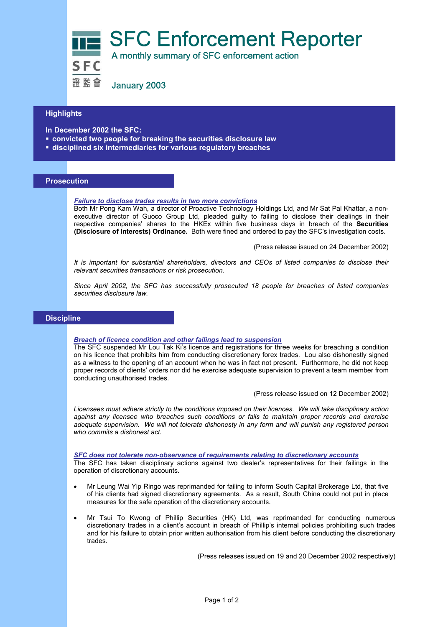SFC Enforcement Reporter<br>SFC A monthly summary of SFC enforcement action

證監會 January 2003

# **Highlights**

- **In December 2002 the SFC:**
- **convicted two people for breaking the securities disclosure law**
- **disciplined six intermediaries for various regulatory breaches**

# **Prosecution**

## *Failure to disclose trades results in two more convictions*

Both Mr Pong Kam Wah, a director of Proactive Technology Holdings Ltd, and Mr Sat Pal Khattar, a nonexecutive director of Guoco Group Ltd, pleaded guilty to failing to disclose their dealings in their respective companies' shares to the HKEx within five business days in breach of the **Securities (Disclosure of Interests) Ordinance.** Both were fined and ordered to pay the SFC's investigation costs.

(Press release issued on 24 December 2002)

*It is important for substantial shareholders, directors and CEOs of listed companies to disclose their relevant securities transactions or risk prosecution.* 

*Since April 2002, the SFC has successfully prosecuted 18 people for breaches of listed companies securities disclosure law.* 

## **Discipline**

#### *Breach of licence condition and other failings lead to suspension*

The SFC suspended Mr Lou Tak Ki's licence and registrations for three weeks for breaching a condition on his licence that prohibits him from conducting discretionary forex trades. Lou also dishonestly signed as a witness to the opening of an account when he was in fact not present. Furthermore, he did not keep proper records of clients' orders nor did he exercise adequate supervision to prevent a team member from conducting unauthorised trades.

(Press release issued on 12 December 2002)

*Licensees must adhere strictly to the conditions imposed on their licences. We will take disciplinary action against any licensee who breaches such conditions or fails to maintain proper records and exercise adequate supervision. We will not tolerate dishonesty in any form and will punish any registered person who commits a dishonest act.*

*SFC does not tolerate non-observance of requirements relating to discretionary accounts*

The SFC has taken disciplinary actions against two dealer's representatives for their failings in the operation of discretionary accounts.

- Mr Leung Wai Yip Ringo was reprimanded for failing to inform South Capital Brokerage Ltd, that five of his clients had signed discretionary agreements. As a result, South China could not put in place measures for the safe operation of the discretionary accounts.
- Mr Tsui To Kwong of Phillip Securities (HK) Ltd, was reprimanded for conducting numerous discretionary trades in a client's account in breach of Phillip's internal policies prohibiting such trades and for his failure to obtain prior written authorisation from his client before conducting the discretionary trades.

(Press releases issued on 19 and 20 December 2002 respectively)